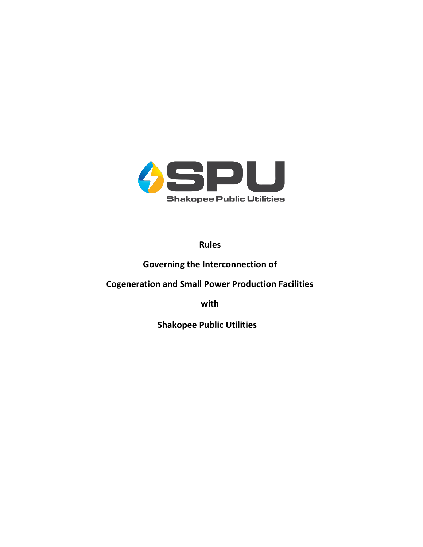

# **Rules**

# **Governing the Interconnection of**

# **Cogeneration and Small Power Production Facilities**

**with**

**Shakopee Public Utilities**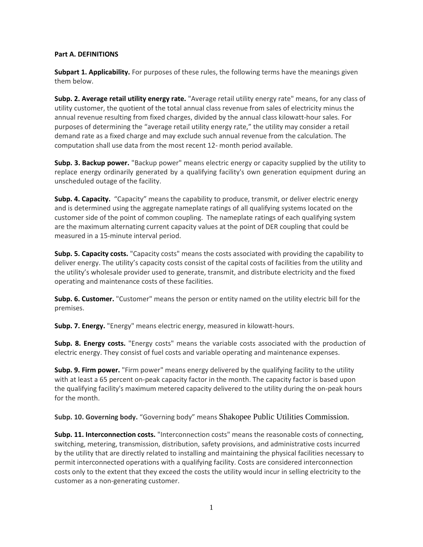### **Part A. DEFINITIONS**

**Subpart 1. Applicability.** For purposes of these rules, the following terms have the meanings given them below.

**Subp. 2. Average retail utility energy rate.** "Average retail utility energy rate" means, for any class of utility customer, the quotient of the total annual class revenue from sales of electricity minus the annual revenue resulting from fixed charges, divided by the annual class kilowatt-hour sales. For purposes of determining the "average retail utility energy rate," the utility may consider a retail demand rate as a fixed charge and may exclude such annual revenue from the calculation. The computation shall use data from the most recent 12- month period available.

**Subp. 3. Backup power.** "Backup power" means electric energy or capacity supplied by the utility to replace energy ordinarily generated by a qualifying facility's own generation equipment during an unscheduled outage of the facility.

**Subp. 4. Capacity.** "Capacity" means the capability to produce, transmit, or deliver electric energy and is determined using the aggregate nameplate ratings of all qualifying systems located on the customer side of the point of common coupling. The nameplate ratings of each qualifying system are the maximum alternating current capacity values at the point of DER coupling that could be measured in a 15-minute interval period.

**Subp. 5. Capacity costs.** "Capacity costs" means the costs associated with providing the capability to deliver energy. The utility's capacity costs consist of the capital costs of facilities from the utility and the utility's wholesale provider used to generate, transmit, and distribute electricity and the fixed operating and maintenance costs of these facilities.

**Subp. 6. Customer.** "Customer" means the person or entity named on the utility electric bill for the premises.

**Subp. 7. Energy.** "Energy" means electric energy, measured in kilowatt-hours.

**Subp. 8. Energy costs.** "Energy costs" means the variable costs associated with the production of electric energy. They consist of fuel costs and variable operating and maintenance expenses.

**Subp. 9. Firm power.** "Firm power" means energy delivered by the qualifying facility to the utility with at least a 65 percent on-peak capacity factor in the month. The capacity factor is based upon the qualifying facility's maximum metered capacity delivered to the utility during the on-peak hours for the month.

**Subp. 10. Governing body.** "Governing body" means Shakopee Public Utilities Commission.

**Subp. 11. Interconnection costs.** "Interconnection costs" means the reasonable costs of connecting, switching, metering, transmission, distribution, safety provisions, and administrative costs incurred by the utility that are directly related to installing and maintaining the physical facilities necessary to permit interconnected operations with a qualifying facility. Costs are considered interconnection costs only to the extent that they exceed the costs the utility would incur in selling electricity to the customer as a non-generating customer.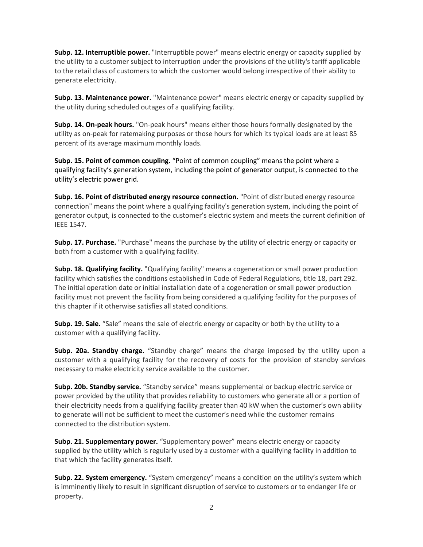**Subp. 12. Interruptible power.** "Interruptible power" means electric energy or capacity supplied by the utility to a customer subject to interruption under the provisions of the utility's tariff applicable to the retail class of customers to which the customer would belong irrespective of their ability to generate electricity.

**Subp. 13. Maintenance power.** "Maintenance power" means electric energy or capacity supplied by the utility during scheduled outages of a qualifying facility.

**Subp. 14. On-peak hours.** "On-peak hours" means either those hours formally designated by the utility as on-peak for ratemaking purposes or those hours for which its typical loads are at least 85 percent of its average maximum monthly loads.

**Subp. 15. Point of common coupling.** "Point of common coupling" means the point where a qualifying facility's generation system, including the point of generator output, is connected to the utility's electric power grid.

**Subp. 16. Point of distributed energy resource connection.** "Point of distributed energy resource connection" means the point where a qualifying facility's generation system, including the point of generator output, is connected to the customer's electric system and meets the current definition of IEEE 1547.

**Subp. 17. Purchase.** "Purchase" means the purchase by the utility of electric energy or capacity or both from a customer with a qualifying facility.

**Subp. 18. Qualifying facility.** "Qualifying facility" means a cogeneration or small power production facility which satisfies the conditions established in Code of Federal Regulations, title 18, part 292. The initial operation date or initial installation date of a cogeneration or small power production facility must not prevent the facility from being considered a qualifying facility for the purposes of this chapter if it otherwise satisfies all stated conditions.

**Subp. 19. Sale.** "Sale" means the sale of electric energy or capacity or both by the utility to a customer with a qualifying facility.

**Subp. 20a. Standby charge.** "Standby charge" means the charge imposed by the utility upon a customer with a qualifying facility for the recovery of costs for the provision of standby services necessary to make electricity service available to the customer.

**Subp. 20b. Standby service.** "Standby service" means supplemental or backup electric service or power provided by the utility that provides reliability to customers who generate all or a portion of their electricity needs from a qualifying facility greater than 40 kW when the customer's own ability to generate will not be sufficient to meet the customer's need while the customer remains connected to the distribution system.

**Subp. 21. Supplementary power.** "Supplementary power" means electric energy or capacity supplied by the utility which is regularly used by a customer with a qualifying facility in addition to that which the facility generates itself.

**Subp. 22. System emergency.** "System emergency" means a condition on the utility's system which is imminently likely to result in significant disruption of service to customers or to endanger life or property.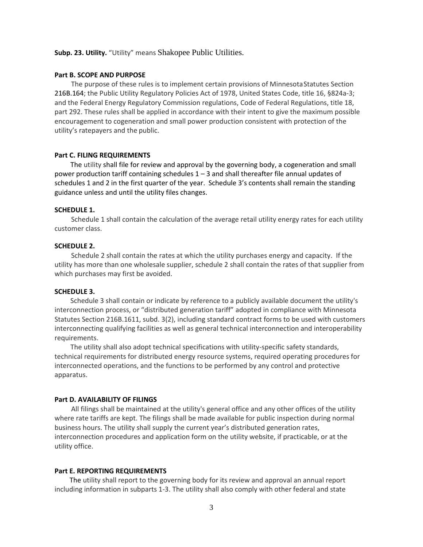#### **Subp. 23. Utility.** "Utility" means Shakopee Public Utilities.

#### **Part B. SCOPE AND PURPOSE**

The purpose of these rules is to implement certain provisions of MinnesotaStatutes Section 216B.164; the Public Utility Regulatory Policies Act of 1978, United States Code, title 16, §824a-3; and the Federal Energy Regulatory Commission regulations, Code of Federal Regulations, title 18, part 292. These rules shall be applied in accordance with their intent to give the maximum possible encouragement to cogeneration and small power production consistent with protection of the utility's ratepayers and the public.

#### **Part C. FILING REQUIREMENTS**

The utility shall file for review and approval by the governing body, a cogeneration and small power production tariff containing schedules  $1 - 3$  and shall thereafter file annual updates of schedules 1 and 2 in the first quarter of the year. Schedule 3's contents shall remain the standing guidance unless and until the utility files changes.

#### **SCHEDULE 1.**

Schedule 1 shall contain the calculation of the average retail utility energy rates for each utility customer class.

#### **SCHEDULE 2.**

Schedule 2 shall contain the rates at which the utility purchases energy and capacity. If the utility has more than one wholesale supplier, schedule 2 shall contain the rates of that supplier from which purchases may first be avoided.

#### **SCHEDULE 3.**

Schedule 3 shall contain or indicate by reference to a publicly available document the utility's interconnection process, or "distributed generation tariff" adopted in compliance with Minnesota Statutes Section 216B.1611, subd. 3(2), including standard contract forms to be used with customers interconnecting qualifying facilities as well as general technical interconnection and interoperability requirements.

The utility shall also adopt technical specifications with utility-specific safety standards, technical requirements for distributed energy resource systems, required operating procedures for interconnected operations, and the functions to be performed by any control and protective apparatus.

#### **Part D. AVAILABILITY OF FILINGS**

All filings shall be maintained at the utility's general office and any other offices of the utility where rate tariffs are kept. The filings shall be made available for public inspection during normal business hours. The utility shall supply the current year's distributed generation rates, interconnection procedures and application form on the utility website, if practicable, or at the utility office.

#### **Part E. REPORTING REQUIREMENTS**

The utility shall report to the governing body for its review and approval an annual report including information in subparts 1-3. The utility shall also comply with other federal and state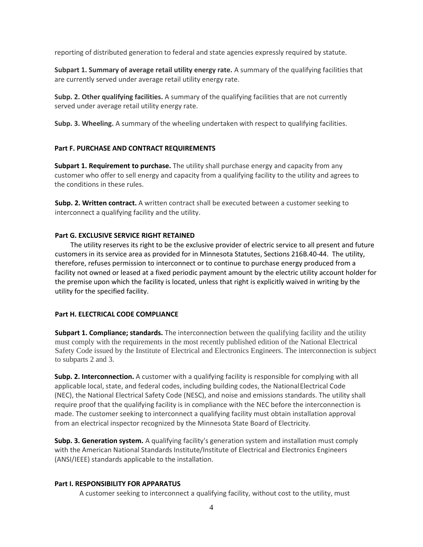reporting of distributed generation to federal and state agencies expressly required by statute.

**Subpart 1. Summary of average retail utility energy rate.** A summary of the qualifying facilities that are currently served under average retail utility energy rate.

**Subp. 2. Other qualifying facilities.** A summary of the qualifying facilities that are not currently served under average retail utility energy rate.

**Subp. 3. Wheeling.** A summary of the wheeling undertaken with respect to qualifying facilities.

### **Part F. PURCHASE AND CONTRACT REQUIREMENTS**

**Subpart 1. Requirement to purchase.** The utility shall purchase energy and capacity from any customer who offer to sell energy and capacity from a qualifying facility to the utility and agrees to the conditions in these rules.

**Subp. 2. Written contract.** A written contract shall be executed between a customer seeking to interconnect a qualifying facility and the utility.

### **Part G. EXCLUSIVE SERVICE RIGHT RETAINED**

The utility reserves its right to be the exclusive provider of electric service to all present and future customers in its service area as provided for in Minnesota Statutes, Sections 216B.40-44. The utility, therefore, refuses permission to interconnect or to continue to purchase energy produced from a facility not owned or leased at a fixed periodic payment amount by the electric utility account holder for the premise upon which the facility is located, unless that right is explicitly waived in writing by the utility for the specified facility.

### **Part H. ELECTRICAL CODE COMPLIANCE**

**Subpart 1. Compliance; standards.** The interconnection between the qualifying facility and the utility must comply with the requirements in the most recently published edition of the National Electrical Safety Code issued by the Institute of Electrical and Electronics Engineers. The interconnection is subject to subparts 2 and 3.

**Subp. 2. Interconnection.** A customer with a qualifying facility is responsible for complying with all applicable local, state, and federal codes, including building codes, the NationalElectrical Code (NEC), the National Electrical Safety Code (NESC), and noise and emissions standards. The utility shall require proof that the qualifying facility is in compliance with the NEC before the interconnection is made. The customer seeking to interconnect a qualifying facility must obtain installation approval from an electrical inspector recognized by the Minnesota State Board of Electricity.

**Subp. 3. Generation system.** A qualifying facility's generation system and installation must comply with the American National Standards Institute/Institute of Electrical and Electronics Engineers (ANSI/IEEE) standards applicable to the installation.

### **Part I. RESPONSIBILITY FOR APPARATUS**

A customer seeking to interconnect a qualifying facility, without cost to the utility, must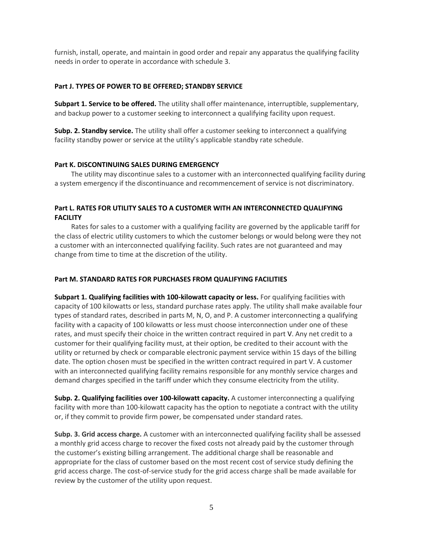furnish, install, operate, and maintain in good order and repair any apparatus the qualifying facility needs in order to operate in accordance with schedule 3.

#### **Part J. TYPES OF POWER TO BE OFFERED; STANDBY SERVICE**

**Subpart 1. Service to be offered.** The utility shall offer maintenance, interruptible, supplementary, and backup power to a customer seeking to interconnect a qualifying facility upon request.

**Subp. 2. Standby service.** The utility shall offer a customer seeking to interconnect a qualifying facility standby power or service at the utility's applicable standby rate schedule.

#### **Part K. DISCONTINUING SALES DURING EMERGENCY**

The utility may discontinue sales to a customer with an interconnected qualifying facility during a system emergency if the discontinuance and recommencement of service is not discriminatory.

### **Part L. RATES FOR UTILITY SALES TO A CUSTOMER WITH AN INTERCONNECTED QUALIFYING FACILITY**

Rates for sales to a customer with a qualifying facility are governed by the applicable tariff for the class of electric utility customers to which the customer belongs or would belong were they not a customer with an interconnected qualifying facility. Such rates are not guaranteed and may change from time to time at the discretion of the utility.

### **Part M. STANDARD RATES FOR PURCHASES FROM QUALIFYING FACILITIES**

**Subpart 1. Qualifying facilities with 100-kilowatt capacity or less.** For qualifying facilities with capacity of 100 kilowatts or less, standard purchase rates apply. The utility shall make available four types of standard rates, described in parts M, N, O, and P. A customer interconnecting a qualifying facility with a capacity of 100 kilowatts or less must choose interconnection under one of these rates, and must specify their choice in the written contract required in part V. Any net credit to a customer for their qualifying facility must, at their option, be credited to their account with the utility or returned by check or comparable electronic payment service within 15 days of the billing date. The option chosen must be specified in the written contract required in part V. A customer with an interconnected qualifying facility remains responsible for any monthly service charges and demand charges specified in the tariff under which they consume electricity from the utility.

**Subp. 2. Qualifying facilities over 100-kilowatt capacity.** A customer interconnecting a qualifying facility with more than 100-kilowatt capacity has the option to negotiate a contract with the utility or, if they commit to provide firm power, be compensated under standard rates.

**Subp. 3. Grid access charge.** A customer with an interconnected qualifying facility shall be assessed a monthly grid access charge to recover the fixed costs not already paid by the customer through the customer's existing billing arrangement. The additional charge shall be reasonable and appropriate for the class of customer based on the most recent cost of service study defining the grid access charge. The cost-of-service study for the grid access charge shall be made available for review by the customer of the utility upon request.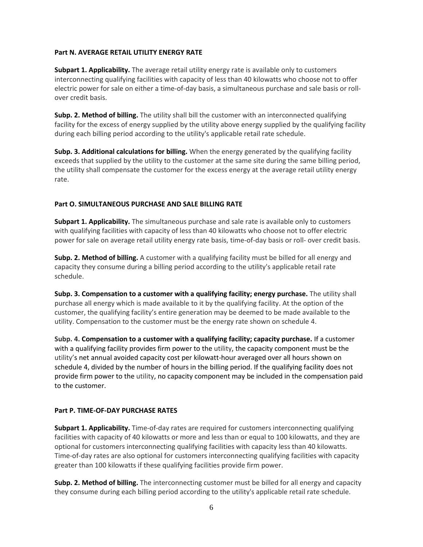### **Part N. AVERAGE RETAIL UTILITY ENERGY RATE**

**Subpart 1. Applicability.** The average retail utility energy rate is available only to customers interconnecting qualifying facilities with capacity of less than 40 kilowatts who choose not to offer electric power for sale on either a time-of-day basis, a simultaneous purchase and sale basis or rollover credit basis.

**Subp. 2. Method of billing.** The utility shall bill the customer with an interconnected qualifying facility for the excess of energy supplied by the utility above energy supplied by the qualifying facility during each billing period according to the utility's applicable retail rate schedule.

**Subp. 3. Additional calculations for billing.** When the energy generated by the qualifying facility exceeds that supplied by the utility to the customer at the same site during the same billing period, the utility shall compensate the customer for the excess energy at the average retail utility energy rate.

### **Part O. SIMULTANEOUS PURCHASE AND SALE BILLING RATE**

**Subpart 1. Applicability.** The simultaneous purchase and sale rate is available only to customers with qualifying facilities with capacity of less than 40 kilowatts who choose not to offer electric power for sale on average retail utility energy rate basis, time-of-day basis or roll- over credit basis.

**Subp. 2. Method of billing.** A customer with a qualifying facility must be billed for all energy and capacity they consume during a billing period according to the utility's applicable retail rate schedule.

**Subp. 3. Compensation to a customer with a qualifying facility; energy purchase.** The utility shall purchase all energy which is made available to it by the qualifying facility. At the option of the customer, the qualifying facility's entire generation may be deemed to be made available to the utility. Compensation to the customer must be the energy rate shown on schedule 4.

**Subp. 4. Compensation to a customer with a qualifying facility; capacity purchase.** If a customer with a qualifying facility provides firm power to the utility, the capacity component must be the utility's net annual avoided capacity cost per kilowatt-hour averaged over all hours shown on schedule 4, divided by the number of hours in the billing period. If the qualifying facility does not provide firm power to the utility, no capacity component may be included in the compensation paid to the customer.

### **Part P. TIME-OF-DAY PURCHASE RATES**

**Subpart 1. Applicability.** Time-of-day rates are required for customers interconnecting qualifying facilities with capacity of 40 kilowatts or more and less than or equal to 100 kilowatts, and they are optional for customers interconnecting qualifying facilities with capacity less than 40 kilowatts. Time-of-day rates are also optional for customers interconnecting qualifying facilities with capacity greater than 100 kilowatts if these qualifying facilities provide firm power.

**Subp. 2. Method of billing.** The interconnecting customer must be billed for all energy and capacity they consume during each billing period according to the utility's applicable retail rate schedule.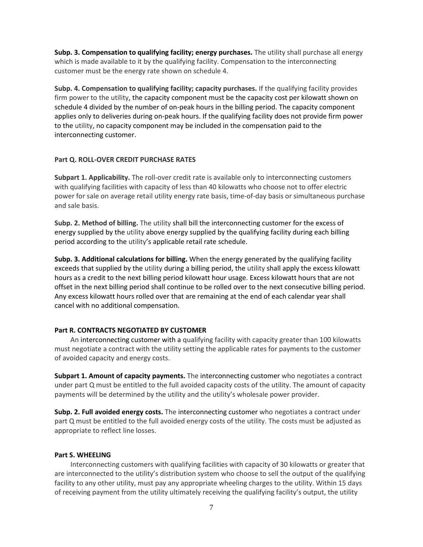**Subp. 3. Compensation to qualifying facility; energy purchases.** The utility shall purchase all energy which is made available to it by the qualifying facility. Compensation to the interconnecting customer must be the energy rate shown on schedule 4.

**Subp. 4. Compensation to qualifying facility; capacity purchases.** If the qualifying facility provides firm power to the utility, the capacity component must be the capacity cost per kilowatt shown on schedule 4 divided by the number of on-peak hours in the billing period. The capacity component applies only to deliveries during on-peak hours. If the qualifying facility does not provide firm power to the utility, no capacity component may be included in the compensation paid to the interconnecting customer.

### **Part Q. ROLL-OVER CREDIT PURCHASE RATES**

**Subpart 1. Applicability.** The roll-over credit rate is available only to interconnecting customers with qualifying facilities with capacity of less than 40 kilowatts who choose not to offer electric power for sale on average retail utility energy rate basis, time-of-day basis or simultaneous purchase and sale basis.

**Subp. 2. Method of billing.** The utility shall bill the interconnecting customer for the excess of energy supplied by the utility above energy supplied by the qualifying facility during each billing period according to the utility's applicable retail rate schedule.

**Subp. 3. Additional calculations for billing.** When the energy generated by the qualifying facility exceeds that supplied by the utility during a billing period, the utility shall apply the excess kilowatt hours as a credit to the next billing period kilowatt hour usage. Excess kilowatt hours that are not offset in the next billing period shall continue to be rolled over to the next consecutive billing period. Any excess kilowatt hours rolled over that are remaining at the end of each calendar year shall cancel with no additional compensation.

### **Part R. CONTRACTS NEGOTIATED BY CUSTOMER**

An interconnecting customer with a qualifying facility with capacity greater than 100 kilowatts must negotiate a contract with the utility setting the applicable rates for payments to the customer of avoided capacity and energy costs.

**Subpart 1. Amount of capacity payments.** The interconnecting customer who negotiates a contract under part Q must be entitled to the full avoided capacity costs of the utility. The amount of capacity payments will be determined by the utility and the utility's wholesale power provider.

**Subp. 2. Full avoided energy costs.** The interconnecting customer who negotiates a contract under part Q must be entitled to the full avoided energy costs of the utility. The costs must be adjusted as appropriate to reflect line losses.

### **Part S. WHEELING**

Interconnecting customers with qualifying facilities with capacity of 30 kilowatts or greater that are interconnected to the utility's distribution system who choose to sell the output of the qualifying facility to any other utility, must pay any appropriate wheeling charges to the utility. Within 15 days of receiving payment from the utility ultimately receiving the qualifying facility's output, the utility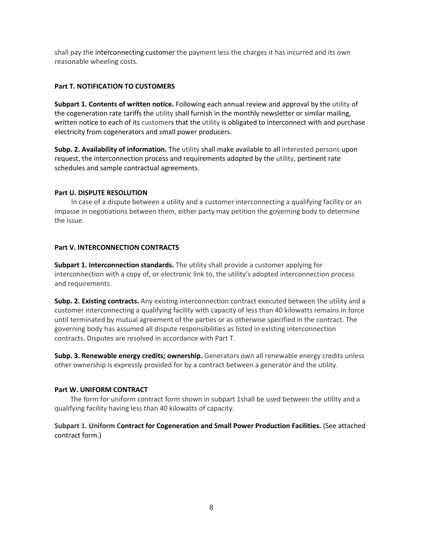shall pay the interconnecting customer the payment less the charges it has incurred and its own reasonable wheeling costs.

### **Part T. NOTIFICATION TO CUSTOMERS**

**Subpart 1. Contents of written notice.** Following each annual review and approval by the utility of the cogeneration rate tariffs the utility shall furnish in the monthly newsletter or similar mailing, written notice to each of its customers that the utility is obligated to interconnect with and purchase electricity from cogenerators and small power producers.

**Subp. 2. Availability of information.** The utility shall make available to all interested persons upon request, the interconnection process and requirements adopted by the utility, pertinent rate schedules and sample contractual agreements.

### **Part U. DISPUTE RESOLUTION**

In case of a dispute between a utility and a customer interconnecting a qualifying facility or an impasse in negotiations between them, either party may petition the governing body to determine the issue.

### **Part V. INTERCONNECTION CONTRACTS**

**Subpart 1. Interconnection standards.** The utility shall provide a customer applying for interconnection with a copy of, or electronic link to, the utility's adopted interconnection process and requirements.

**Subp. 2. Existing contracts.** Any existing interconnection contract executed between the utility and a customer interconnecting a qualifying facility with capacity of less than 40 kilowatts remains in force until terminated by mutual agreement of the parties or as otherwise specified in the contract. The governing body has assumed all dispute responsibilities as listed in existing interconnection contracts. Disputes are resolved in accordance with Part T.

**Subp. 3. Renewable energy credits; ownership.** Generators own all renewable energy credits unless other ownership is expressly provided for by a contract between a generator and the utility.

### **Part W. UNIFORM CONTRACT**

The form for uniform contract form shown in subpart 1shall be used between the utility and a qualifying facility having less than 40 kilowatts of capacity.

### **Subpart 1. Uniform Contract for Cogeneration and Small Power Production Facilities.** (See attached contract form.)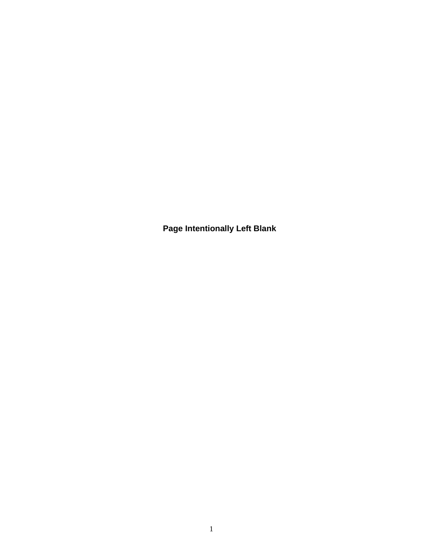**Page Intentionally Left Blank**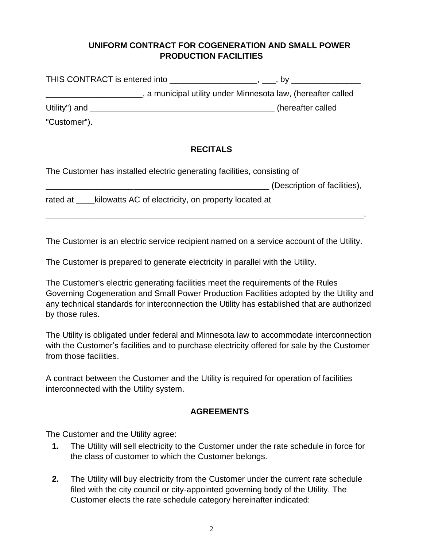# **UNIFORM CONTRACT FOR COGENERATION AND SMALL POWER PRODUCTION FACILITIES**

|               |                                                                     | . 5V                                                         |  |
|---------------|---------------------------------------------------------------------|--------------------------------------------------------------|--|
|               |                                                                     | , a municipal utility under Minnesota law, (hereafter called |  |
| Utility") and | <u> 1989 - Andrea Stadt Britain, amerikansk politiker (d. 1989)</u> | (hereafter called                                            |  |
| "Customer").  |                                                                     |                                                              |  |

# **RECITALS**

| The Customer has installed electric generating facilities, consisting of |                                                     |                              |  |  |
|--------------------------------------------------------------------------|-----------------------------------------------------|------------------------------|--|--|
|                                                                          |                                                     | (Description of facilities), |  |  |
| rated at                                                                 | kilowatts AC of electricity, on property located at |                              |  |  |

The Customer is an electric service recipient named on a service account of the Utility.

\_\_\_\_\_\_\_\_\_\_\_\_\_\_\_\_\_\_\_\_\_\_\_\_\_\_\_\_\_\_\_\_\_\_\_\_\_\_\_\_\_\_\_\_\_\_\_\_\_\_\_\_\_\_\_\_\_\_\_\_\_\_\_\_\_\_\_\_\_.

The Customer is prepared to generate electricity in parallel with the Utility.

The Customer's electric generating facilities meet the requirements of the Rules Governing Cogeneration and Small Power Production Facilities adopted by the Utility and any technical standards for interconnection the Utility has established that are authorized by those rules.

The Utility is obligated under federal and Minnesota law to accommodate interconnection with the Customer's facilities and to purchase electricity offered for sale by the Customer from those facilities.

A contract between the Customer and the Utility is required for operation of facilities interconnected with the Utility system.

## **AGREEMENTS**

The Customer and the Utility agree:

- **1.** The Utility will sell electricity to the Customer under the rate schedule in force for the class of customer to which the Customer belongs.
- **2.** The Utility will buy electricity from the Customer under the current rate schedule filed with the city council or city-appointed governing body of the Utility. The Customer elects the rate schedule category hereinafter indicated: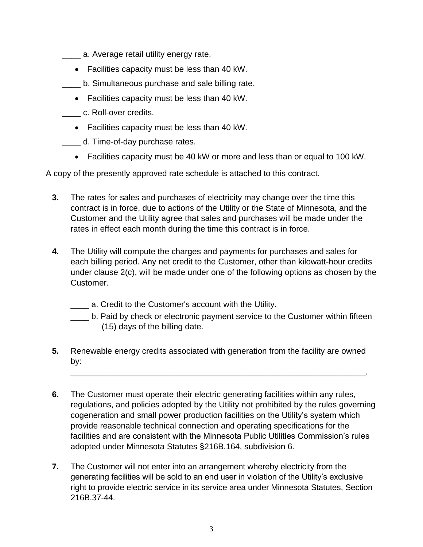- a. Average retail utility energy rate.
- Facilities capacity must be less than 40 kW.
- \_\_\_\_ b. Simultaneous purchase and sale billing rate.
	- Facilities capacity must be less than 40 kW.
- \_\_\_\_ c. Roll-over credits.
	- Facilities capacity must be less than 40 kW.
- \_\_\_\_ d. Time-of-day purchase rates.
	- Facilities capacity must be 40 kW or more and less than or equal to 100 kW.

A copy of the presently approved rate schedule is attached to this contract.

- **3.** The rates for sales and purchases of electricity may change over the time this contract is in force, due to actions of the Utility or the State of Minnesota, and the Customer and the Utility agree that sales and purchases will be made under the rates in effect each month during the time this contract is in force.
- **4.** The Utility will compute the charges and payments for purchases and sales for each billing period. Any net credit to the Customer, other than kilowatt-hour credits under clause 2(c), will be made under one of the following options as chosen by the Customer.
	- \_\_\_\_ a. Credit to the Customer's account with the Utility.
	- b. Paid by check or electronic payment service to the Customer within fifteen (15) days of the billing date.
- **5.** Renewable energy credits associated with generation from the facility are owned by:

\_\_\_\_\_\_\_\_\_\_\_\_\_\_\_\_\_\_\_\_\_\_\_\_\_\_\_\_\_\_\_\_\_\_\_\_\_\_\_\_\_\_\_\_\_\_\_\_\_\_\_\_\_\_\_\_\_\_\_\_\_\_\_\_.

- **6.** The Customer must operate their electric generating facilities within any rules, regulations, and policies adopted by the Utility not prohibited by the rules governing cogeneration and small power production facilities on the Utility's system which provide reasonable technical connection and operating specifications for the facilities and are consistent with the Minnesota Public Utilities Commission's rules adopted under Minnesota Statutes §216B.164, subdivision 6.
- **7.** The Customer will not enter into an arrangement whereby electricity from the generating facilities will be sold to an end user in violation of the Utility's exclusive right to provide electric service in its service area under Minnesota Statutes, Section 216B.37-44.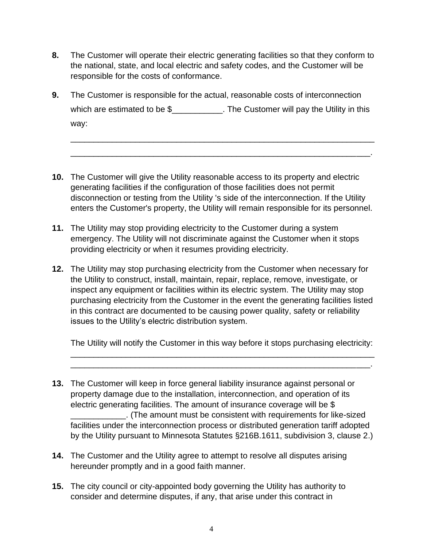- **8.** The Customer will operate their electric generating facilities so that they conform to the national, state, and local electric and safety codes, and the Customer will be responsible for the costs of conformance.
- **9.** The Customer is responsible for the actual, reasonable costs of interconnection which are estimated to be \$\_\_\_\_\_\_\_\_\_\_\_. The Customer will pay the Utility in this way:

\_\_\_\_\_\_\_\_\_\_\_\_\_\_\_\_\_\_\_\_\_\_\_\_\_\_\_\_\_\_\_\_\_\_\_\_\_\_\_\_\_\_\_\_\_\_\_\_\_\_\_\_\_\_\_\_\_\_\_\_\_\_\_\_\_\_

\_\_\_\_\_\_\_\_\_\_\_\_\_\_\_\_\_\_\_\_\_\_\_\_\_\_\_\_\_\_\_\_\_\_\_\_\_\_\_\_\_\_\_\_\_\_\_\_\_\_\_\_\_\_\_\_\_\_\_\_\_\_\_\_\_.

- **10.** The Customer will give the Utility reasonable access to its property and electric generating facilities if the configuration of those facilities does not permit disconnection or testing from the Utility 's side of the interconnection. If the Utility enters the Customer's property, the Utility will remain responsible for its personnel.
- **11.** The Utility may stop providing electricity to the Customer during a system emergency. The Utility will not discriminate against the Customer when it stops providing electricity or when it resumes providing electricity.
- **12.** The Utility may stop purchasing electricity from the Customer when necessary for the Utility to construct, install, maintain, repair, replace, remove, investigate, or inspect any equipment or facilities within its electric system. The Utility may stop purchasing electricity from the Customer in the event the generating facilities listed in this contract are documented to be causing power quality, safety or reliability issues to the Utility's electric distribution system.

The Utility will notify the Customer in this way before it stops purchasing electricity:

\_\_\_\_\_\_\_\_\_\_\_\_\_\_\_\_\_\_\_\_\_\_\_\_\_\_\_\_\_\_\_\_\_\_\_\_\_\_\_\_\_\_\_\_\_\_\_\_\_\_\_\_\_\_\_\_\_\_\_\_\_\_\_\_\_.

- **14.** The Customer and the Utility agree to attempt to resolve all disputes arising hereunder promptly and in a good faith manner.
- **15.** The city council or city-appointed body governing the Utility has authority to consider and determine disputes, if any, that arise under this contract in

**<sup>13.</sup>** The Customer will keep in force general liability insurance against personal or property damage due to the installation, interconnection, and operation of its electric generating facilities. The amount of insurance coverage will be \$ \_\_\_\_\_\_\_\_\_\_\_\_. (The amount must be consistent with requirements for like-sized facilities under the interconnection process or distributed generation tariff adopted by the Utility pursuant to Minnesota Statutes §216B.1611, subdivision 3, clause 2.)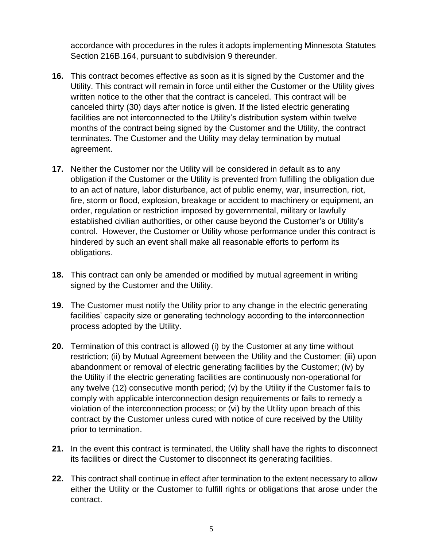accordance with procedures in the rules it adopts implementing Minnesota Statutes Section 216B.164, pursuant to subdivision 9 thereunder.

- **16.** This contract becomes effective as soon as it is signed by the Customer and the Utility. This contract will remain in force until either the Customer or the Utility gives written notice to the other that the contract is canceled. This contract will be canceled thirty (30) days after notice is given. If the listed electric generating facilities are not interconnected to the Utility's distribution system within twelve months of the contract being signed by the Customer and the Utility, the contract terminates. The Customer and the Utility may delay termination by mutual agreement.
- **17.** Neither the Customer nor the Utility will be considered in default as to any obligation if the Customer or the Utility is prevented from fulfilling the obligation due to an act of nature, labor disturbance, act of public enemy, war, insurrection, riot, fire, storm or flood, explosion, breakage or accident to machinery or equipment, an order, regulation or restriction imposed by governmental, military or lawfully established civilian authorities, or other cause beyond the Customer's or Utility's control. However, the Customer or Utility whose performance under this contract is hindered by such an event shall make all reasonable efforts to perform its obligations.
- **18.** This contract can only be amended or modified by mutual agreement in writing signed by the Customer and the Utility.
- **19.** The Customer must notify the Utility prior to any change in the electric generating facilities' capacity size or generating technology according to the interconnection process adopted by the Utility.
- **20.** Termination of this contract is allowed (i) by the Customer at any time without restriction; (ii) by Mutual Agreement between the Utility and the Customer; (iii) upon abandonment or removal of electric generating facilities by the Customer; (iv) by the Utility if the electric generating facilities are continuously non-operational for any twelve (12) consecutive month period; (v) by the Utility if the Customer fails to comply with applicable interconnection design requirements or fails to remedy a violation of the interconnection process; or (vi) by the Utility upon breach of this contract by the Customer unless cured with notice of cure received by the Utility prior to termination.
- **21.** In the event this contract is terminated, the Utility shall have the rights to disconnect its facilities or direct the Customer to disconnect its generating facilities.
- **22.** This contract shall continue in effect after termination to the extent necessary to allow either the Utility or the Customer to fulfill rights or obligations that arose under the contract.